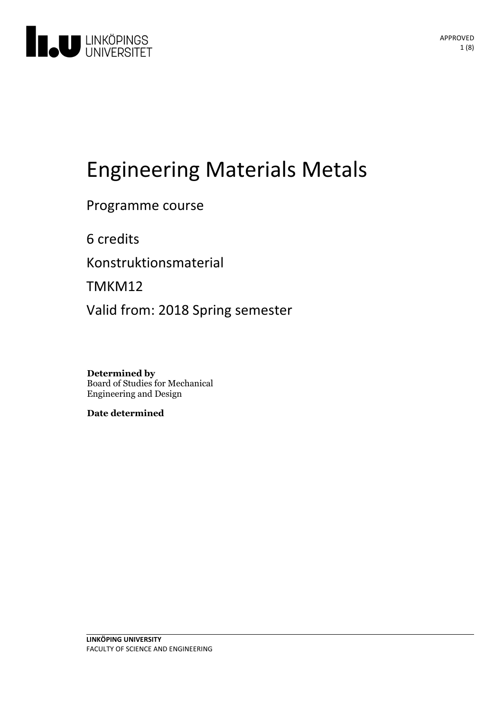

# Engineering Materials Metals

Programme course

6 credits

Konstruktionsmaterial

TMKM12

Valid from: 2018 Spring semester

**Determined by** Board of Studies for Mechanical Engineering and Design

**Date determined**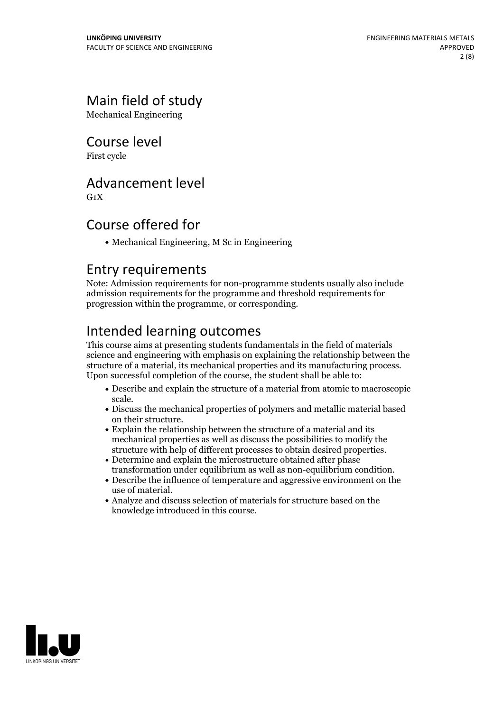## Main field of study

Mechanical Engineering

Course level

First cycle

## Advancement level

 $G_1X$ 

## Course offered for

Mechanical Engineering, M Sc in Engineering

## Entry requirements

Note: Admission requirements for non-programme students usually also include admission requirements for the programme and threshold requirements for progression within the programme, or corresponding.

## Intended learning outcomes

This course aims at presenting students fundamentals in the field of materials science and engineering with emphasis on explaining the relationship between the structure of <sup>a</sup> material, its mechanical properties and its manufacturing process. Upon successful completion of the course, the student shall be able to:

- Describe and explain the structure of a material from atomic to macroscopic
- scale.<br>• Discuss the mechanical properties of polymers and metallic material based on their structure.<br>• Explain the relationship between the structure of a material and its
- mechanical properties as well as discuss the possibilities to modify the structure with help of different processes to obtain desired properties.
- Determine and explain the microstructure obtained after phase transformation under equilibrium as well as non-equilibrium condition.<br>• Describe the influence of temperature and aggressive environment on the
- use of material.<br>• Analyze and discuss selection of materials for structure based on the
- knowledge introduced in this course.

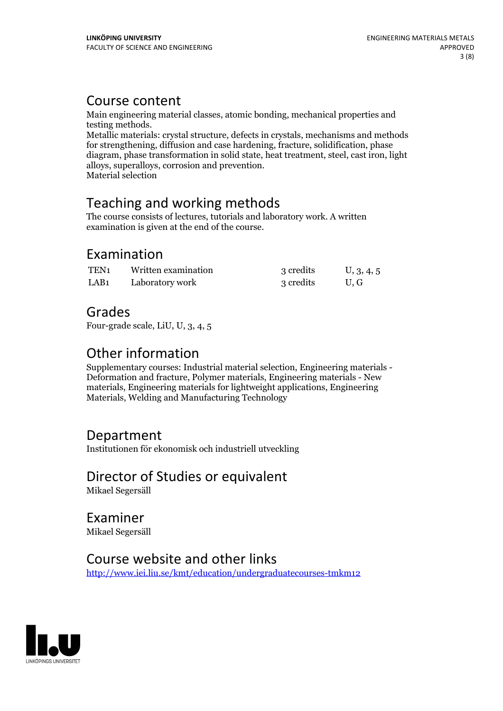## Course content

Main engineering material classes, atomic bonding, mechanical properties and

Metallic materials: crystal structure, defects in crystals, mechanisms and methods for strengthening, diffusion and case hardening, fracture, solidification, phase diagram, phase transformation in solid state, heat treatment, steel, cast iron, light alloys, superalloys, corrosion and prevention. Material selection

## Teaching and working methods

The course consists of lectures, tutorials and laboratory work. A written examination is given at the end of the course.

## Examination

| TEN <sub>1</sub> | Written examination | 3 credits | U, 3, 4, 5 |
|------------------|---------------------|-----------|------------|
| LAB <sub>1</sub> | Laboratory work     | 3 credits | U.G        |

## Grades

Four-grade scale, LiU, U, 3, 4, 5

Other information<br>Supplementary courses: Industrial material selection, Engineering materials -Deformation and fracture, Polymer materials, Engineering materials - New materials, Engineering materials for lightweight applications, Engineering Materials, Welding and Manufacturing Technology

## Department

Institutionen för ekonomisk och industriell utveckling

Director of Studies or equivalent

Mikael Segersäll

Examiner Mikael Segersäll

## Course website and other links

<http://www.iei.liu.se/kmt/education/undergraduatecourses-tmkm12>

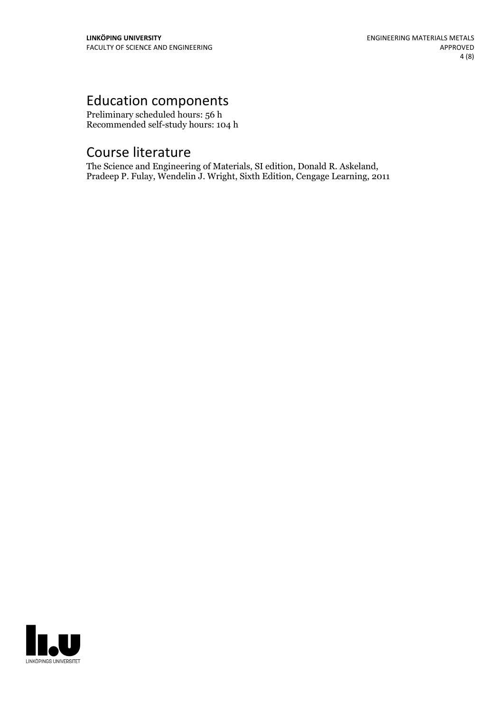## Education components

Preliminary scheduled hours: 56 h Recommended self-study hours: 104 h

Course literature<br>The Science and Engineering of Materials, SI edition, Donald R. Askeland, Pradeep P. Fulay, Wendelin J. Wright, Sixth Edition, Cengage Learning, 2011

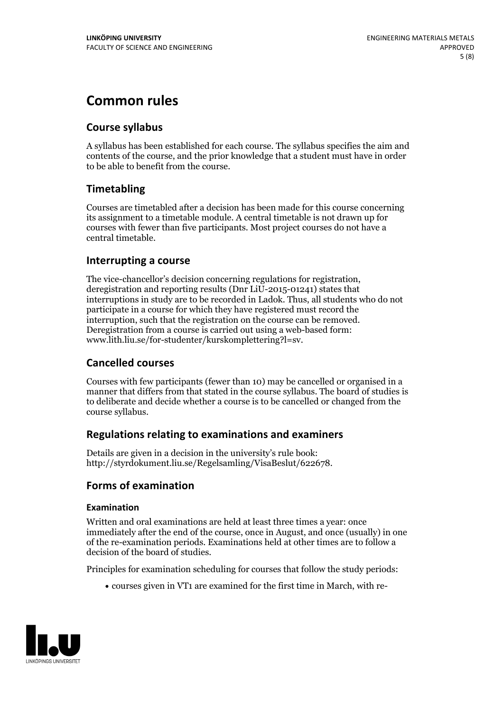## **Common rules**

### **Course syllabus**

A syllabus has been established for each course. The syllabus specifies the aim and contents of the course, and the prior knowledge that a student must have in order to be able to benefit from the course.

### **Timetabling**

Courses are timetabled after a decision has been made for this course concerning its assignment to a timetable module. A central timetable is not drawn up for courses with fewer than five participants. Most project courses do not have a central timetable.

#### **Interrupting a course**

The vice-chancellor's decision concerning regulations for registration, deregistration and reporting results (Dnr LiU-2015-01241) states that interruptions in study are to be recorded in Ladok. Thus, all students who do not participate in a course for which they have registered must record the interruption, such that the registration on the course can be removed. Deregistration from <sup>a</sup> course is carried outusing <sup>a</sup> web-based form: www.lith.liu.se/for-studenter/kurskomplettering?l=sv.

### **Cancelled courses**

Courses with few participants (fewer than 10) may be cancelled or organised in a manner that differs from that stated in the course syllabus. The board of studies is to deliberate and decide whether a course is to be cancelled orchanged from the course syllabus.

### **Regulations relatingto examinations and examiners**

Details are given in a decision in the university's rule book: http://styrdokument.liu.se/Regelsamling/VisaBeslut/622678.

### **Forms of examination**

#### **Examination**

Written and oral examinations are held at least three times a year: once immediately after the end of the course, once in August, and once (usually) in one of the re-examination periods. Examinations held at other times are to follow a decision of the board of studies.

Principles for examination scheduling for courses that follow the study periods:

courses given in VT1 are examined for the first time in March, with re-

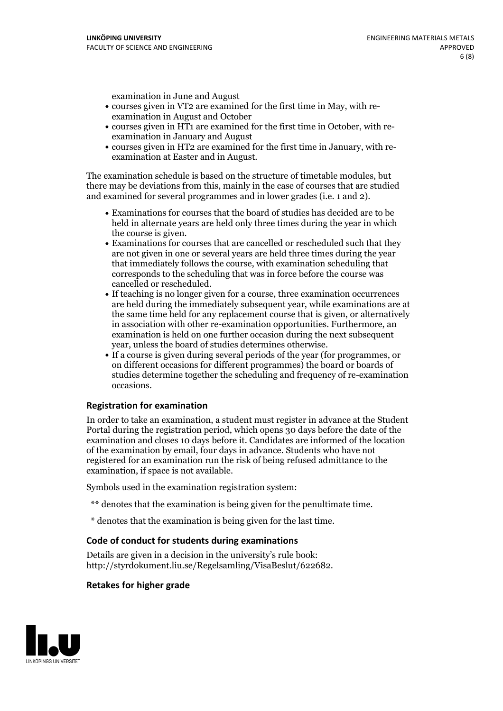examination in June and August

- courses given in VT2 are examined for the first time in May, with re-examination in August and October
- courses given in HT1 are examined for the first time in October, with re-examination in January and August
- courses given in HT2 are examined for the first time in January, with re-examination at Easter and in August.

The examination schedule is based on the structure of timetable modules, but there may be deviations from this, mainly in the case of courses that are studied and examined for several programmes and in lower grades (i.e. 1 and 2).

- Examinations for courses that the board of studies has decided are to be held in alternate years are held only three times during the year in which
- the course is given.<br>• Examinations for courses that are cancelled or rescheduled such that they are not given in one or several years are held three times during the year that immediately follows the course, with examination scheduling that corresponds to the scheduling that was in force before the course was cancelled or rescheduled.<br>• If teaching is no longer given for a course, three examination occurrences
- are held during the immediately subsequent year, while examinations are at the same time held for any replacement course that is given, or alternatively in association with other re-examination opportunities. Furthermore, an examination is held on one further occasion during the next subsequent year, unless the board of studies determines otherwise.<br>• If a course is given during several periods of the year (for programmes, or
- on different occasions for different programmes) the board orboards of studies determine together the scheduling and frequency of re-examination occasions.

#### **Registration for examination**

In order to take an examination, a student must register in advance at the Student Portal during the registration period, which opens 30 days before the date of the examination and closes 10 days before it. Candidates are informed of the location of the examination by email, four days in advance. Students who have not registered for an examination run the risk of being refused admittance to the examination, if space is not available.

Symbols used in the examination registration system:

- \*\* denotes that the examination is being given for the penultimate time.
- \* denotes that the examination is being given for the last time.

#### **Code of conduct for students during examinations**

Details are given in a decision in the university's rule book: http://styrdokument.liu.se/Regelsamling/VisaBeslut/622682.

#### **Retakes for higher grade**

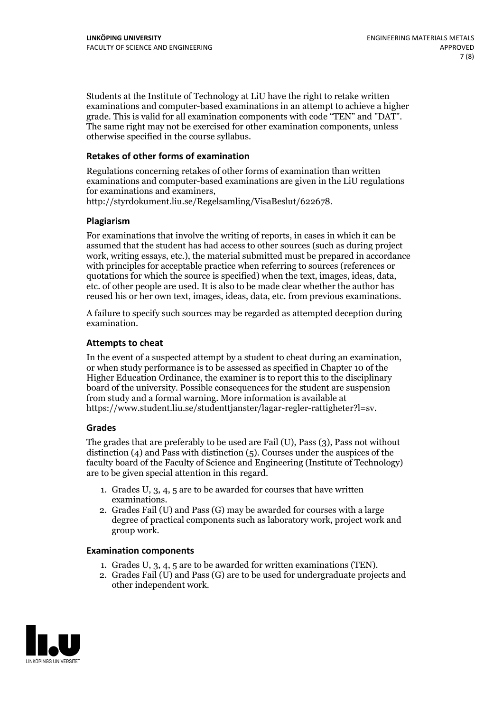Students at the Institute of Technology at LiU have the right to retake written examinations and computer-based examinations in an attempt to achieve a higher grade. This is valid for all examination components with code "TEN" and "DAT". The same right may not be exercised for other examination components, unless otherwise specified in the course syllabus.

#### **Retakes of other forms of examination**

Regulations concerning retakes of other forms of examination than written examinations and computer-based examinations are given in the LiU regulations for examinations and examiners, http://styrdokument.liu.se/Regelsamling/VisaBeslut/622678.

#### **Plagiarism**

For examinations that involve the writing of reports, in cases in which it can be assumed that the student has had access to other sources (such as during project work, writing essays, etc.), the material submitted must be prepared in accordance with principles for acceptable practice when referring to sources (references or quotations for which the source is specified) when the text, images, ideas, data, etc. of other people are used. It is also to be made clear whether the author has reused his or her own text, images, ideas, data, etc. from previous examinations.

A failure to specify such sources may be regarded as attempted deception during examination.

#### **Attempts to cheat**

In the event of <sup>a</sup> suspected attempt by <sup>a</sup> student to cheat during an examination, or when study performance is to be assessed as specified in Chapter <sup>10</sup> of the Higher Education Ordinance, the examiner is to report this to the disciplinary board of the university. Possible consequences for the student are suspension from study and a formal warning. More information is available at https://www.student.liu.se/studenttjanster/lagar-regler-rattigheter?l=sv.

#### **Grades**

The grades that are preferably to be used are Fail (U), Pass (3), Pass not without distinction  $(4)$  and Pass with distinction  $(5)$ . Courses under the auspices of the faculty board of the Faculty of Science and Engineering (Institute of Technology) are to be given special attention in this regard.

- 1. Grades U, 3, 4, 5 are to be awarded for courses that have written
- examinations. 2. Grades Fail (U) and Pass (G) may be awarded for courses with <sup>a</sup> large degree of practical components such as laboratory work, project work and group work.

#### **Examination components**

- 
- 1. Grades U, 3, 4, <sup>5</sup> are to be awarded for written examinations (TEN). 2. Grades Fail (U) and Pass (G) are to be used for undergraduate projects and other independent work.